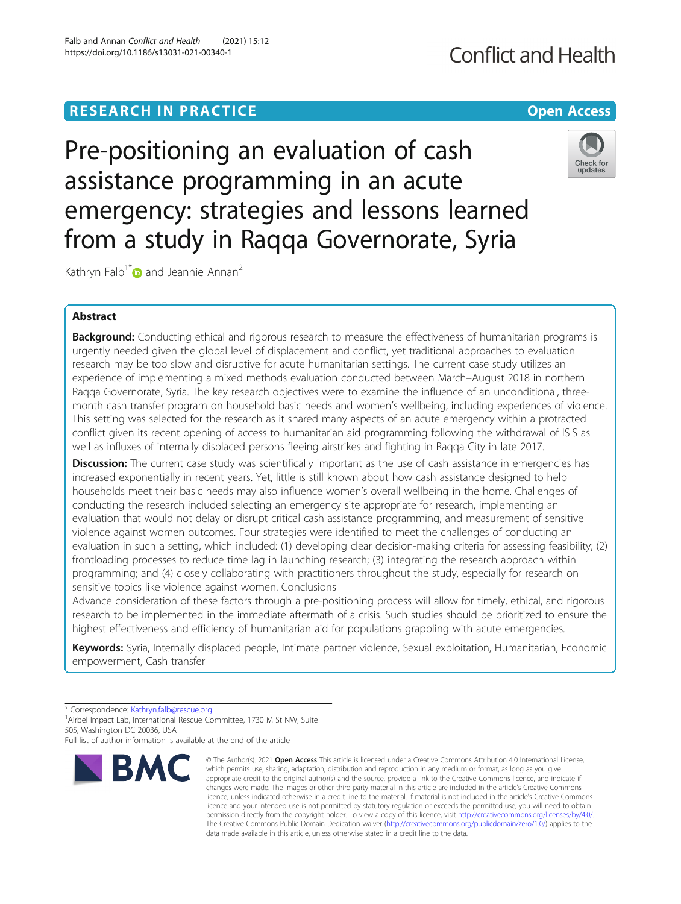# **RESEARCH IN PRACTICE Example 20 and 20 and 20 and 20 and 20 and 20 and 20 and 20 and 20 and 20 and 20 and 20 and 20 and 20 and 20 and 20 and 20 and 20 and 20 and 20 and 20 and 20 and 20 and 20 and 20 and 20 and 20 and 2**

Pre-positioning an evaluation of cash assistance programming in an acute emergency: strategies and lessons learned from a study in Raqqa Governorate, Syria

Kathryn Falb<sup>1\*</sup> and Jeannie Annan<sup>2</sup>

# Abstract

Background: Conducting ethical and rigorous research to measure the effectiveness of humanitarian programs is urgently needed given the global level of displacement and conflict, yet traditional approaches to evaluation research may be too slow and disruptive for acute humanitarian settings. The current case study utilizes an experience of implementing a mixed methods evaluation conducted between March–August 2018 in northern Raqqa Governorate, Syria. The key research objectives were to examine the influence of an unconditional, threemonth cash transfer program on household basic needs and women's wellbeing, including experiences of violence. This setting was selected for the research as it shared many aspects of an acute emergency within a protracted conflict given its recent opening of access to humanitarian aid programming following the withdrawal of ISIS as well as influxes of internally displaced persons fleeing airstrikes and fighting in Raqqa City in late 2017.

**Discussion:** The current case study was scientifically important as the use of cash assistance in emergencies has increased exponentially in recent years. Yet, little is still known about how cash assistance designed to help households meet their basic needs may also influence women's overall wellbeing in the home. Challenges of conducting the research included selecting an emergency site appropriate for research, implementing an evaluation that would not delay or disrupt critical cash assistance programming, and measurement of sensitive violence against women outcomes. Four strategies were identified to meet the challenges of conducting an evaluation in such a setting, which included: (1) developing clear decision-making criteria for assessing feasibility; (2) frontloading processes to reduce time lag in launching research; (3) integrating the research approach within programming; and (4) closely collaborating with practitioners throughout the study, especially for research on sensitive topics like violence against women. Conclusions

Advance consideration of these factors through a pre-positioning process will allow for timely, ethical, and rigorous research to be implemented in the immediate aftermath of a crisis. Such studies should be prioritized to ensure the highest effectiveness and efficiency of humanitarian aid for populations grappling with acute emergencies.

Keywords: Syria, Internally displaced people, Intimate partner violence, Sexual exploitation, Humanitarian, Economic empowerment, Cash transfer

\* Correspondence: [Kathryn.falb@rescue.org](mailto:Kathryn.falb@rescue.org) <sup>1</sup>

<sup>1</sup> Airbel Impact Lab, International Rescue Committee, 1730 M St NW, Suite 505, Washington DC 20036, USA

Full list of author information is available at the end of the article



**BMC** 



updates



<sup>©</sup> The Author(s), 2021 **Open Access** This article is licensed under a Creative Commons Attribution 4.0 International License, which permits use, sharing, adaptation, distribution and reproduction in any medium or format, as long as you give appropriate credit to the original author(s) and the source, provide a link to the Creative Commons licence, and indicate if changes were made. The images or other third party material in this article are included in the article's Creative Commons licence, unless indicated otherwise in a credit line to the material. If material is not included in the article's Creative Commons licence and your intended use is not permitted by statutory regulation or exceeds the permitted use, you will need to obtain permission directly from the copyright holder. To view a copy of this licence, visit [http://creativecommons.org/licenses/by/4.0/.](http://creativecommons.org/licenses/by/4.0/) The Creative Commons Public Domain Dedication waiver [\(http://creativecommons.org/publicdomain/zero/1.0/](http://creativecommons.org/publicdomain/zero/1.0/)) applies to the data made available in this article, unless otherwise stated in a credit line to the data.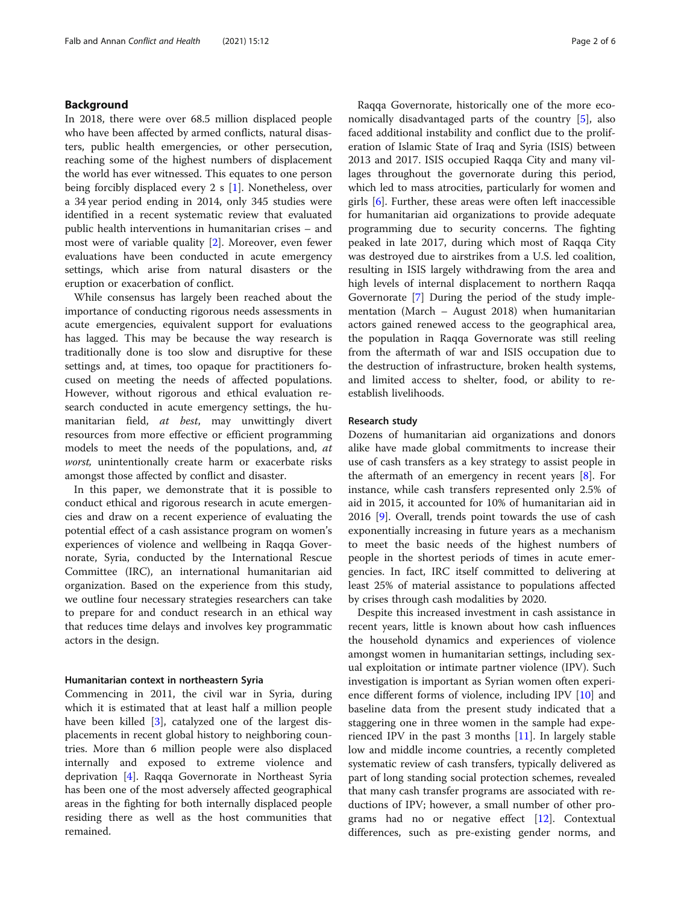### Background

In 2018, there were over 68.5 million displaced people who have been affected by armed conflicts, natural disasters, public health emergencies, or other persecution, reaching some of the highest numbers of displacement the world has ever witnessed. This equates to one person being forcibly displaced every 2 s [\[1](#page-5-0)]. Nonetheless, over a 34 year period ending in 2014, only 345 studies were identified in a recent systematic review that evaluated public health interventions in humanitarian crises – and most were of variable quality [[2\]](#page-5-0). Moreover, even fewer evaluations have been conducted in acute emergency settings, which arise from natural disasters or the eruption or exacerbation of conflict.

While consensus has largely been reached about the importance of conducting rigorous needs assessments in acute emergencies, equivalent support for evaluations has lagged. This may be because the way research is traditionally done is too slow and disruptive for these settings and, at times, too opaque for practitioners focused on meeting the needs of affected populations. However, without rigorous and ethical evaluation research conducted in acute emergency settings, the humanitarian field, at best, may unwittingly divert resources from more effective or efficient programming models to meet the needs of the populations, and, at worst, unintentionally create harm or exacerbate risks amongst those affected by conflict and disaster.

In this paper, we demonstrate that it is possible to conduct ethical and rigorous research in acute emergencies and draw on a recent experience of evaluating the potential effect of a cash assistance program on women's experiences of violence and wellbeing in Raqqa Governorate, Syria, conducted by the International Rescue Committee (IRC), an international humanitarian aid organization. Based on the experience from this study, we outline four necessary strategies researchers can take to prepare for and conduct research in an ethical way that reduces time delays and involves key programmatic actors in the design.

#### Humanitarian context in northeastern Syria

Commencing in 2011, the civil war in Syria, during which it is estimated that at least half a million people have been killed [\[3](#page-5-0)], catalyzed one of the largest displacements in recent global history to neighboring countries. More than 6 million people were also displaced internally and exposed to extreme violence and deprivation [[4\]](#page-5-0). Raqqa Governorate in Northeast Syria has been one of the most adversely affected geographical areas in the fighting for both internally displaced people residing there as well as the host communities that remained.

Raqqa Governorate, historically one of the more economically disadvantaged parts of the country [[5](#page-5-0)], also faced additional instability and conflict due to the proliferation of Islamic State of Iraq and Syria (ISIS) between 2013 and 2017. ISIS occupied Raqqa City and many villages throughout the governorate during this period, which led to mass atrocities, particularly for women and girls [[6\]](#page-5-0). Further, these areas were often left inaccessible for humanitarian aid organizations to provide adequate programming due to security concerns. The fighting peaked in late 2017, during which most of Raqqa City was destroyed due to airstrikes from a U.S. led coalition, resulting in ISIS largely withdrawing from the area and high levels of internal displacement to northern Raqqa Governorate [\[7](#page-5-0)] During the period of the study implementation (March – August 2018) when humanitarian actors gained renewed access to the geographical area, the population in Raqqa Governorate was still reeling from the aftermath of war and ISIS occupation due to the destruction of infrastructure, broken health systems, and limited access to shelter, food, or ability to reestablish livelihoods.

#### Research study

Dozens of humanitarian aid organizations and donors alike have made global commitments to increase their use of cash transfers as a key strategy to assist people in the aftermath of an emergency in recent years [\[8](#page-5-0)]. For instance, while cash transfers represented only 2.5% of aid in 2015, it accounted for 10% of humanitarian aid in 2016 [[9\]](#page-5-0). Overall, trends point towards the use of cash exponentially increasing in future years as a mechanism to meet the basic needs of the highest numbers of people in the shortest periods of times in acute emergencies. In fact, IRC itself committed to delivering at least 25% of material assistance to populations affected by crises through cash modalities by 2020.

Despite this increased investment in cash assistance in recent years, little is known about how cash influences the household dynamics and experiences of violence amongst women in humanitarian settings, including sexual exploitation or intimate partner violence (IPV). Such investigation is important as Syrian women often experience different forms of violence, including IPV [[10\]](#page-5-0) and baseline data from the present study indicated that a staggering one in three women in the sample had experienced IPV in the past 3 months  $[11]$  $[11]$ . In largely stable low and middle income countries, a recently completed systematic review of cash transfers, typically delivered as part of long standing social protection schemes, revealed that many cash transfer programs are associated with reductions of IPV; however, a small number of other programs had no or negative effect [\[12](#page-5-0)]. Contextual differences, such as pre-existing gender norms, and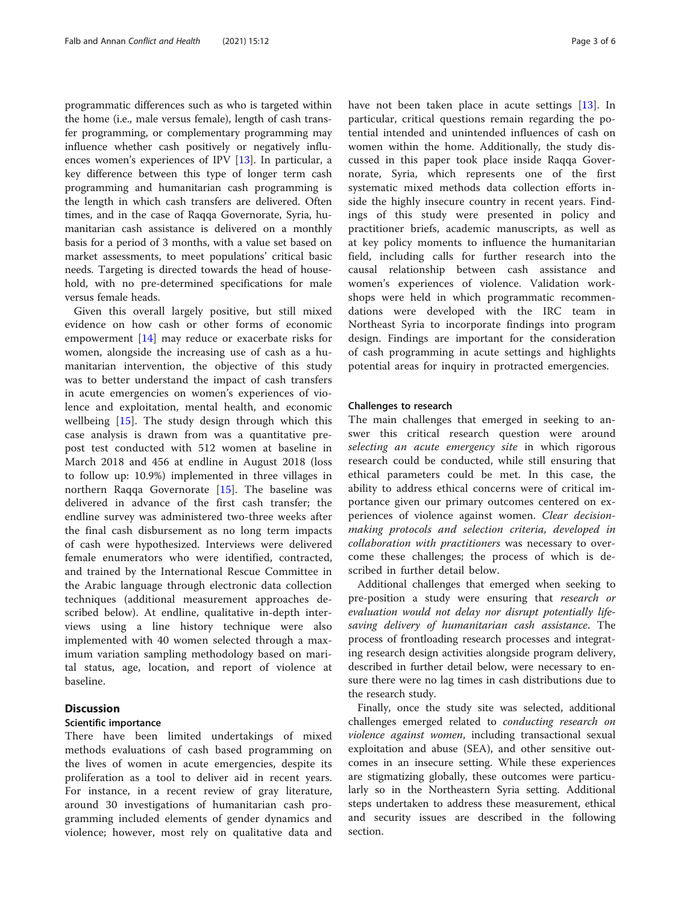programmatic differences such as who is targeted within the home (i.e., male versus female), length of cash transfer programming, or complementary programming may influence whether cash positively or negatively influences women's experiences of IPV [[13\]](#page-5-0). In particular, a key difference between this type of longer term cash programming and humanitarian cash programming is the length in which cash transfers are delivered. Often times, and in the case of Raqqa Governorate, Syria, humanitarian cash assistance is delivered on a monthly basis for a period of 3 months, with a value set based on market assessments, to meet populations' critical basic needs. Targeting is directed towards the head of household, with no pre-determined specifications for male versus female heads.

Given this overall largely positive, but still mixed evidence on how cash or other forms of economic empowerment [[14\]](#page-5-0) may reduce or exacerbate risks for women, alongside the increasing use of cash as a humanitarian intervention, the objective of this study was to better understand the impact of cash transfers in acute emergencies on women's experiences of violence and exploitation, mental health, and economic wellbeing  $[15]$  $[15]$ . The study design through which this case analysis is drawn from was a quantitative prepost test conducted with 512 women at baseline in March 2018 and 456 at endline in August 2018 (loss to follow up: 10.9%) implemented in three villages in northern Raqqa Governorate [\[15](#page-5-0)]. The baseline was delivered in advance of the first cash transfer; the endline survey was administered two-three weeks after the final cash disbursement as no long term impacts of cash were hypothesized. Interviews were delivered female enumerators who were identified, contracted, and trained by the International Rescue Committee in the Arabic language through electronic data collection techniques (additional measurement approaches described below). At endline, qualitative in-depth interviews using a line history technique were also implemented with 40 women selected through a maximum variation sampling methodology based on marital status, age, location, and report of violence at baseline.

# **Discussion**

#### Scientific importance

There have been limited undertakings of mixed methods evaluations of cash based programming on the lives of women in acute emergencies, despite its proliferation as a tool to deliver aid in recent years. For instance, in a recent review of gray literature, around 30 investigations of humanitarian cash programming included elements of gender dynamics and violence; however, most rely on qualitative data and have not been taken place in acute settings [[13](#page-5-0)]. In particular, critical questions remain regarding the potential intended and unintended influences of cash on women within the home. Additionally, the study discussed in this paper took place inside Raqqa Governorate, Syria, which represents one of the first systematic mixed methods data collection efforts inside the highly insecure country in recent years. Findings of this study were presented in policy and practitioner briefs, academic manuscripts, as well as at key policy moments to influence the humanitarian field, including calls for further research into the causal relationship between cash assistance and women's experiences of violence. Validation workshops were held in which programmatic recommendations were developed with the IRC team in Northeast Syria to incorporate findings into program design. Findings are important for the consideration of cash programming in acute settings and highlights potential areas for inquiry in protracted emergencies.

#### Challenges to research

The main challenges that emerged in seeking to answer this critical research question were around selecting an acute emergency site in which rigorous research could be conducted, while still ensuring that ethical parameters could be met. In this case, the ability to address ethical concerns were of critical importance given our primary outcomes centered on experiences of violence against women. Clear decisionmaking protocols and selection criteria, developed in collaboration with practitioners was necessary to overcome these challenges; the process of which is described in further detail below.

Additional challenges that emerged when seeking to pre-position a study were ensuring that research or evaluation would not delay nor disrupt potentially lifesaving delivery of humanitarian cash assistance. The process of frontloading research processes and integrating research design activities alongside program delivery, described in further detail below, were necessary to ensure there were no lag times in cash distributions due to the research study.

Finally, once the study site was selected, additional challenges emerged related to conducting research on violence against women, including transactional sexual exploitation and abuse (SEA), and other sensitive outcomes in an insecure setting. While these experiences are stigmatizing globally, these outcomes were particularly so in the Northeastern Syria setting. Additional steps undertaken to address these measurement, ethical and security issues are described in the following section.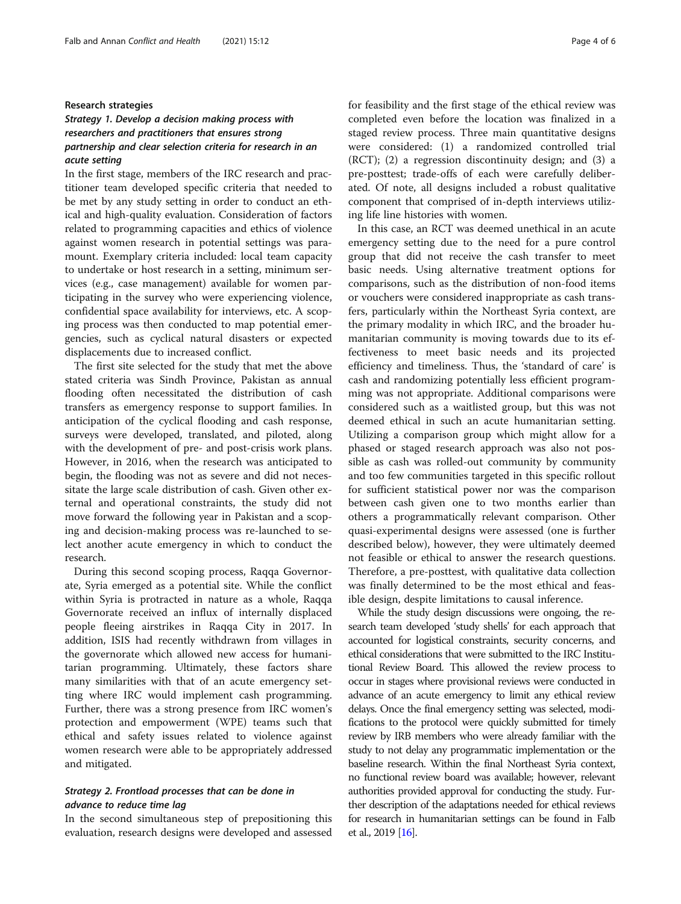#### Research strategies

# Strategy 1. Develop a decision making process with researchers and practitioners that ensures strong partnership and clear selection criteria for research in an acute setting

In the first stage, members of the IRC research and practitioner team developed specific criteria that needed to be met by any study setting in order to conduct an ethical and high-quality evaluation. Consideration of factors related to programming capacities and ethics of violence against women research in potential settings was paramount. Exemplary criteria included: local team capacity to undertake or host research in a setting, minimum services (e.g., case management) available for women participating in the survey who were experiencing violence, confidential space availability for interviews, etc. A scoping process was then conducted to map potential emergencies, such as cyclical natural disasters or expected displacements due to increased conflict.

The first site selected for the study that met the above stated criteria was Sindh Province, Pakistan as annual flooding often necessitated the distribution of cash transfers as emergency response to support families. In anticipation of the cyclical flooding and cash response, surveys were developed, translated, and piloted, along with the development of pre- and post-crisis work plans. However, in 2016, when the research was anticipated to begin, the flooding was not as severe and did not necessitate the large scale distribution of cash. Given other external and operational constraints, the study did not move forward the following year in Pakistan and a scoping and decision-making process was re-launched to select another acute emergency in which to conduct the research.

During this second scoping process, Raqqa Governorate, Syria emerged as a potential site. While the conflict within Syria is protracted in nature as a whole, Raqqa Governorate received an influx of internally displaced people fleeing airstrikes in Raqqa City in 2017. In addition, ISIS had recently withdrawn from villages in the governorate which allowed new access for humanitarian programming. Ultimately, these factors share many similarities with that of an acute emergency setting where IRC would implement cash programming. Further, there was a strong presence from IRC women's protection and empowerment (WPE) teams such that ethical and safety issues related to violence against women research were able to be appropriately addressed and mitigated.

# Strategy 2. Frontload processes that can be done in advance to reduce time lag

In the second simultaneous step of prepositioning this evaluation, research designs were developed and assessed for feasibility and the first stage of the ethical review was completed even before the location was finalized in a staged review process. Three main quantitative designs were considered: (1) a randomized controlled trial (RCT); (2) a regression discontinuity design; and (3) a pre-posttest; trade-offs of each were carefully deliberated. Of note, all designs included a robust qualitative component that comprised of in-depth interviews utilizing life line histories with women.

In this case, an RCT was deemed unethical in an acute emergency setting due to the need for a pure control group that did not receive the cash transfer to meet basic needs. Using alternative treatment options for comparisons, such as the distribution of non-food items or vouchers were considered inappropriate as cash transfers, particularly within the Northeast Syria context, are the primary modality in which IRC, and the broader humanitarian community is moving towards due to its effectiveness to meet basic needs and its projected efficiency and timeliness. Thus, the 'standard of care' is cash and randomizing potentially less efficient programming was not appropriate. Additional comparisons were considered such as a waitlisted group, but this was not deemed ethical in such an acute humanitarian setting. Utilizing a comparison group which might allow for a phased or staged research approach was also not possible as cash was rolled-out community by community and too few communities targeted in this specific rollout for sufficient statistical power nor was the comparison between cash given one to two months earlier than others a programmatically relevant comparison. Other quasi-experimental designs were assessed (one is further described below), however, they were ultimately deemed not feasible or ethical to answer the research questions. Therefore, a pre-posttest, with qualitative data collection was finally determined to be the most ethical and feasible design, despite limitations to causal inference.

While the study design discussions were ongoing, the research team developed 'study shells' for each approach that accounted for logistical constraints, security concerns, and ethical considerations that were submitted to the IRC Institutional Review Board. This allowed the review process to occur in stages where provisional reviews were conducted in advance of an acute emergency to limit any ethical review delays. Once the final emergency setting was selected, modifications to the protocol were quickly submitted for timely review by IRB members who were already familiar with the study to not delay any programmatic implementation or the baseline research. Within the final Northeast Syria context, no functional review board was available; however, relevant authorities provided approval for conducting the study. Further description of the adaptations needed for ethical reviews for research in humanitarian settings can be found in Falb et al., 2019 [\[16](#page-5-0)].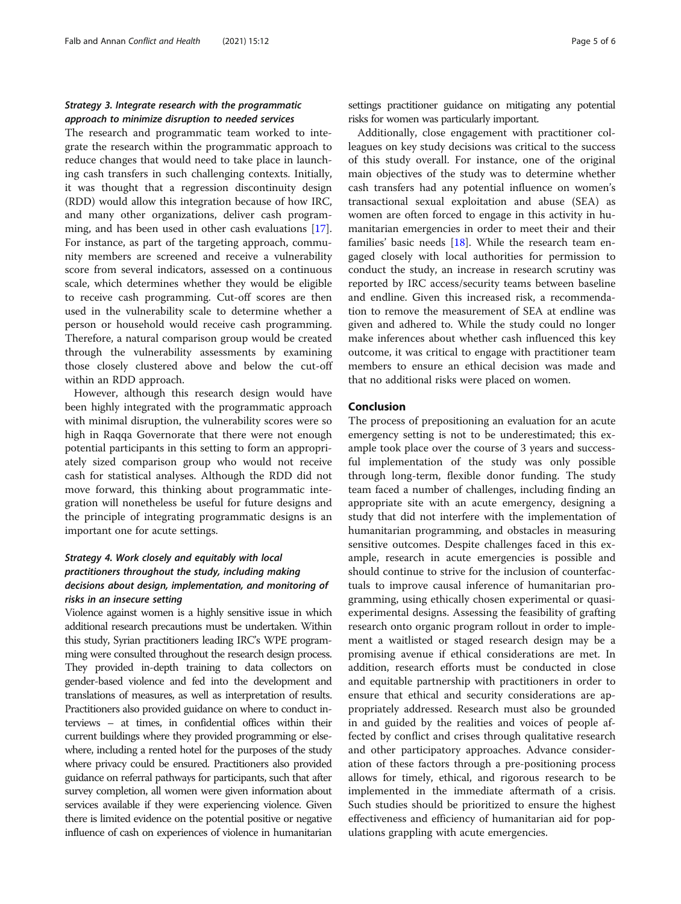# Strategy 3. Integrate research with the programmatic approach to minimize disruption to needed services

The research and programmatic team worked to integrate the research within the programmatic approach to reduce changes that would need to take place in launching cash transfers in such challenging contexts. Initially, it was thought that a regression discontinuity design (RDD) would allow this integration because of how IRC, and many other organizations, deliver cash programming, and has been used in other cash evaluations [\[17](#page-5-0)]. For instance, as part of the targeting approach, community members are screened and receive a vulnerability score from several indicators, assessed on a continuous scale, which determines whether they would be eligible to receive cash programming. Cut-off scores are then used in the vulnerability scale to determine whether a person or household would receive cash programming. Therefore, a natural comparison group would be created through the vulnerability assessments by examining those closely clustered above and below the cut-off within an RDD approach.

However, although this research design would have been highly integrated with the programmatic approach with minimal disruption, the vulnerability scores were so high in Raqqa Governorate that there were not enough potential participants in this setting to form an appropriately sized comparison group who would not receive cash for statistical analyses. Although the RDD did not move forward, this thinking about programmatic integration will nonetheless be useful for future designs and the principle of integrating programmatic designs is an important one for acute settings.

# Strategy 4. Work closely and equitably with local practitioners throughout the study, including making decisions about design, implementation, and monitoring of risks in an insecure setting

Violence against women is a highly sensitive issue in which additional research precautions must be undertaken. Within this study, Syrian practitioners leading IRC's WPE programming were consulted throughout the research design process. They provided in-depth training to data collectors on gender-based violence and fed into the development and translations of measures, as well as interpretation of results. Practitioners also provided guidance on where to conduct interviews – at times, in confidential offices within their current buildings where they provided programming or elsewhere, including a rented hotel for the purposes of the study where privacy could be ensured. Practitioners also provided guidance on referral pathways for participants, such that after survey completion, all women were given information about services available if they were experiencing violence. Given there is limited evidence on the potential positive or negative influence of cash on experiences of violence in humanitarian settings practitioner guidance on mitigating any potential risks for women was particularly important.

Additionally, close engagement with practitioner colleagues on key study decisions was critical to the success of this study overall. For instance, one of the original main objectives of the study was to determine whether cash transfers had any potential influence on women's transactional sexual exploitation and abuse (SEA) as women are often forced to engage in this activity in humanitarian emergencies in order to meet their and their families' basic needs [\[18](#page-5-0)]. While the research team engaged closely with local authorities for permission to conduct the study, an increase in research scrutiny was reported by IRC access/security teams between baseline and endline. Given this increased risk, a recommendation to remove the measurement of SEA at endline was given and adhered to. While the study could no longer make inferences about whether cash influenced this key outcome, it was critical to engage with practitioner team members to ensure an ethical decision was made and that no additional risks were placed on women.

#### Conclusion

The process of prepositioning an evaluation for an acute emergency setting is not to be underestimated; this example took place over the course of 3 years and successful implementation of the study was only possible through long-term, flexible donor funding. The study team faced a number of challenges, including finding an appropriate site with an acute emergency, designing a study that did not interfere with the implementation of humanitarian programming, and obstacles in measuring sensitive outcomes. Despite challenges faced in this example, research in acute emergencies is possible and should continue to strive for the inclusion of counterfactuals to improve causal inference of humanitarian programming, using ethically chosen experimental or quasiexperimental designs. Assessing the feasibility of grafting research onto organic program rollout in order to implement a waitlisted or staged research design may be a promising avenue if ethical considerations are met. In addition, research efforts must be conducted in close and equitable partnership with practitioners in order to ensure that ethical and security considerations are appropriately addressed. Research must also be grounded in and guided by the realities and voices of people affected by conflict and crises through qualitative research and other participatory approaches. Advance consideration of these factors through a pre-positioning process allows for timely, ethical, and rigorous research to be implemented in the immediate aftermath of a crisis. Such studies should be prioritized to ensure the highest effectiveness and efficiency of humanitarian aid for populations grappling with acute emergencies.